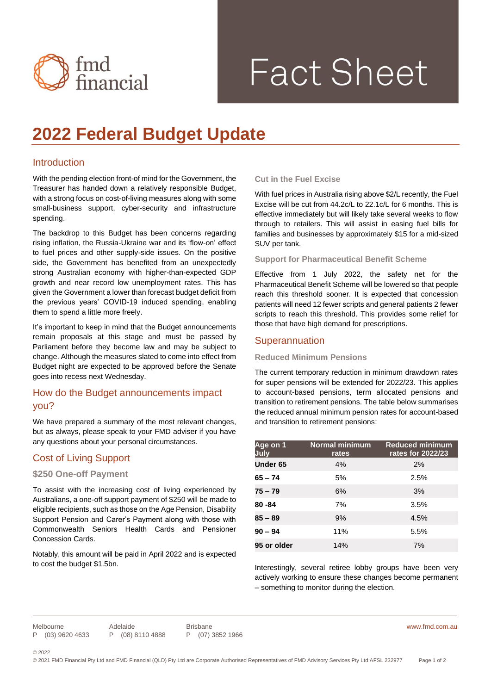

# **Fact Sheet**

# **2022 Federal Budget Update**

# Introduction

With the pending election front-of mind for the Government, the Treasurer has handed down a relatively responsible Budget, with a strong focus on cost-of-living measures along with some small-business support, cyber-security and infrastructure spending.

The backdrop to this Budget has been concerns regarding rising inflation, the Russia-Ukraine war and its 'flow-on' effect to fuel prices and other supply-side issues. On the positive side, the Government has benefited from an unexpectedly strong Australian economy with higher-than-expected GDP growth and near record low unemployment rates. This has given the Government a lower than forecast budget deficit from the previous years' COVID-19 induced spending, enabling them to spend a little more freely.

It's important to keep in mind that the Budget announcements remain proposals at this stage and must be passed by Parliament before they become law and may be subject to change. Although the measures slated to come into effect from Budget night are expected to be approved before the Senate goes into recess next Wednesday.

# How do the Budget announcements impact you?

We have prepared a summary of the most relevant changes, but as always, please speak to your FMD adviser if you have any questions about your personal circumstances.

# Cost of Living Support

## **\$250 One-off Payment**

To assist with the increasing cost of living experienced by Australians, a one-off support payment of \$250 will be made to eligible recipients, such as those on the Age Pension, Disability Support Pension and Carer's Payment along with those with Commonwealth Seniors Health Cards and Pensioner Concession Cards.

Notably, this amount will be paid in April 2022 and is expected to cost the budget \$1.5bn.

## **Cut in the Fuel Excise**

With fuel prices in Australia rising above \$2/L recently, the Fuel Excise will be cut from 44.2c/L to 22.1c/L for 6 months. This is effective immediately but will likely take several weeks to flow through to retailers. This will assist in easing fuel bills for families and businesses by approximately \$15 for a mid-sized SUV per tank.

#### **Support for Pharmaceutical Benefit Scheme**

Effective from 1 July 2022, the safety net for the Pharmaceutical Benefit Scheme will be lowered so that people reach this threshold sooner. It is expected that concession patients will need 12 fewer scripts and general patients 2 fewer scripts to reach this threshold. This provides some relief for those that have high demand for prescriptions.

# Superannuation

#### **Reduced Minimum Pensions**

The current temporary reduction in minimum drawdown rates for super pensions will be extended for 2022/23. This applies to account-based pensions, term allocated pensions and transition to retirement pensions. The table below summarises the reduced annual minimum pension rates for account-based and transition to retirement pensions:

| Age on 1<br>July | <b>Normal minimum</b><br>rates | <b>Reduced minimum</b><br>rates for 2022/23 |
|------------------|--------------------------------|---------------------------------------------|
| Under 65         | 4%                             | 2%                                          |
| $65 - 74$        | 5%                             | 2.5%                                        |
| $75 - 79$        | 6%                             | 3%                                          |
| 80 - 84          | 7%                             | 3.5%                                        |
| $85 - 89$        | 9%                             | 4.5%                                        |
| $90 - 94$        | 11%                            | 5.5%                                        |
| 95 or older      | 14%                            | 7%                                          |

Interestingly, several retiree lobby groups have been very actively working to ensure these changes become permanent – something to monitor during the election.

Melbourne P (03) 9620 4633

Adelaide P (08) 8110 4888

Brisbane P (07) 3852 1966